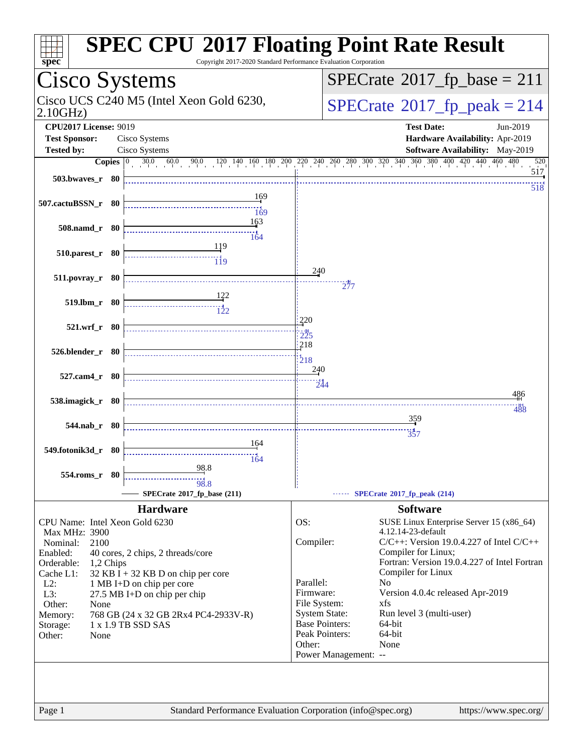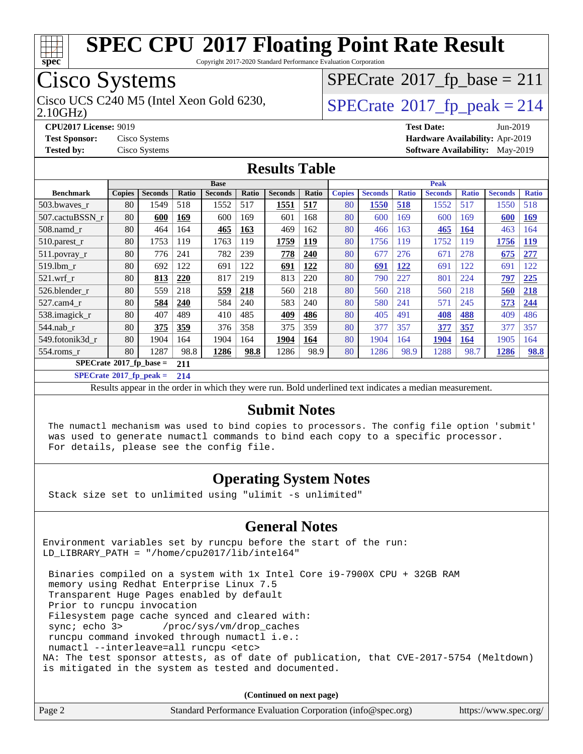

Copyright 2017-2020 Standard Performance Evaluation Corporation

## Cisco Systems

2.10GHz)

## $SPECrate$ <sup>®</sup>[2017\\_fp\\_base =](http://www.spec.org/auto/cpu2017/Docs/result-fields.html#SPECrate2017fpbase) 211

Cisco UCS C240 M5 (Intel Xeon Gold 6230,  $SPECrate@2017_fp\_peak = 214$  $SPECrate@2017_fp\_peak = 214$ 

**[CPU2017 License:](http://www.spec.org/auto/cpu2017/Docs/result-fields.html#CPU2017License)** 9019 **[Test Date:](http://www.spec.org/auto/cpu2017/Docs/result-fields.html#TestDate)** Jun-2019 **[Test Sponsor:](http://www.spec.org/auto/cpu2017/Docs/result-fields.html#TestSponsor)** Cisco Systems **[Hardware Availability:](http://www.spec.org/auto/cpu2017/Docs/result-fields.html#HardwareAvailability)** Apr-2019 **[Tested by:](http://www.spec.org/auto/cpu2017/Docs/result-fields.html#Testedby)** Cisco Systems **[Software Availability:](http://www.spec.org/auto/cpu2017/Docs/result-fields.html#SoftwareAvailability)** May-2019

#### **[Results Table](http://www.spec.org/auto/cpu2017/Docs/result-fields.html#ResultsTable)**

|                                        | <b>Base</b>   |                |       |                |       | <b>Peak</b>    |            |               |                |              |                |              |                |              |
|----------------------------------------|---------------|----------------|-------|----------------|-------|----------------|------------|---------------|----------------|--------------|----------------|--------------|----------------|--------------|
| <b>Benchmark</b>                       | <b>Copies</b> | <b>Seconds</b> | Ratio | <b>Seconds</b> | Ratio | <b>Seconds</b> | Ratio      | <b>Copies</b> | <b>Seconds</b> | <b>Ratio</b> | <b>Seconds</b> | <b>Ratio</b> | <b>Seconds</b> | <b>Ratio</b> |
| 503.bwayes r                           | 80            | 1549           | 518   | 1552           | 517   | 1551           | 517        | 80            | 1550           | 518          | 1552           | 517          | 1550           | 518          |
| 507.cactuBSSN r                        | 80            | 600            | 169   | 600            | 169   | 601            | 168        | 80            | 600            | 169          | 600            | 169          | 600            | <u>169</u>   |
| 508.namd_r                             | 80            | 464            | 164   | 465            | 163   | 469            | 162        | 80            | 466            | 163          | 465            | 164          | 463            | 164          |
| 510.parest_r                           | 80            | 1753           | 119   | 1763           | 119   | 1759           | <b>119</b> | 80            | 1756           | 119          | 1752           | 119          | 1756           | <u>119</u>   |
| 511.povray_r                           | 80            | 776            | 241   | 782            | 239   | 778            | 240        | 80            | 677            | 276          | 671            | 278          | 675            | 277          |
| 519.1bm r                              | 80            | 692            | 122   | 691            | 122   | 691            | 122        | 80            | 691            | <u>122</u>   | 691            | 122          | 691            | 122          |
| $521$ .wrf r                           | 80            | 813            | 220   | 817            | 219   | 813            | 220        | 80            | 790            | 227          | 801            | 224          | 797            | 225          |
| 526.blender r                          | 80            | 559            | 218   | 559            | 218   | 560            | 218        | 80            | 560            | 218          | 560            | 218          | 560            | 218          |
| 527.cam4_r                             | 80            | 584            | 240   | 584            | 240   | 583            | 240        | 80            | 580            | 241          | 571            | 245          | 573            | 244          |
| 538.imagick_r                          | 80            | 407            | 489   | 410            | 485   | 409            | 486        | 80            | 405            | 491          | 408            | 488          | 409            | 486          |
| $544$ .nab_r                           | 80            | 375            | 359   | 376            | 358   | 375            | 359        | 80            | 377            | 357          | 377            | 357          | 377            | 357          |
| 549.fotonik3d r                        | 80            | 1904           | 164   | 1904           | 164   | 1904           | 164        | 80            | 1904           | 164          | 1904           | 164          | 1905           | 164          |
| $554$ .roms r                          | 80            | 1287           | 98.8  | 1286           | 98.8  | 1286           | 98.9       | 80            | 1286           | 98.9         | 1288           | 98.7         | 1286           | 98.8         |
| $SPECrate$ <sup>®</sup> 2017_fp_base = |               | 211            |       |                |       |                |            |               |                |              |                |              |                |              |

**[SPECrate](http://www.spec.org/auto/cpu2017/Docs/result-fields.html#SPECrate2017fppeak)[2017\\_fp\\_peak =](http://www.spec.org/auto/cpu2017/Docs/result-fields.html#SPECrate2017fppeak) 214**

Results appear in the [order in which they were run.](http://www.spec.org/auto/cpu2017/Docs/result-fields.html#RunOrder) Bold underlined text [indicates a median measurement.](http://www.spec.org/auto/cpu2017/Docs/result-fields.html#Median)

#### **[Submit Notes](http://www.spec.org/auto/cpu2017/Docs/result-fields.html#SubmitNotes)**

 The numactl mechanism was used to bind copies to processors. The config file option 'submit' was used to generate numactl commands to bind each copy to a specific processor. For details, please see the config file.

#### **[Operating System Notes](http://www.spec.org/auto/cpu2017/Docs/result-fields.html#OperatingSystemNotes)**

Stack size set to unlimited using "ulimit -s unlimited"

#### **[General Notes](http://www.spec.org/auto/cpu2017/Docs/result-fields.html#GeneralNotes)**

Environment variables set by runcpu before the start of the run: LD\_LIBRARY\_PATH = "/home/cpu2017/lib/intel64"

 Binaries compiled on a system with 1x Intel Core i9-7900X CPU + 32GB RAM memory using Redhat Enterprise Linux 7.5 Transparent Huge Pages enabled by default Prior to runcpu invocation Filesystem page cache synced and cleared with: sync; echo 3> /proc/sys/vm/drop\_caches runcpu command invoked through numactl i.e.: numactl --interleave=all runcpu <etc> NA: The test sponsor attests, as of date of publication, that CVE-2017-5754 (Meltdown) is mitigated in the system as tested and documented.

**(Continued on next page)**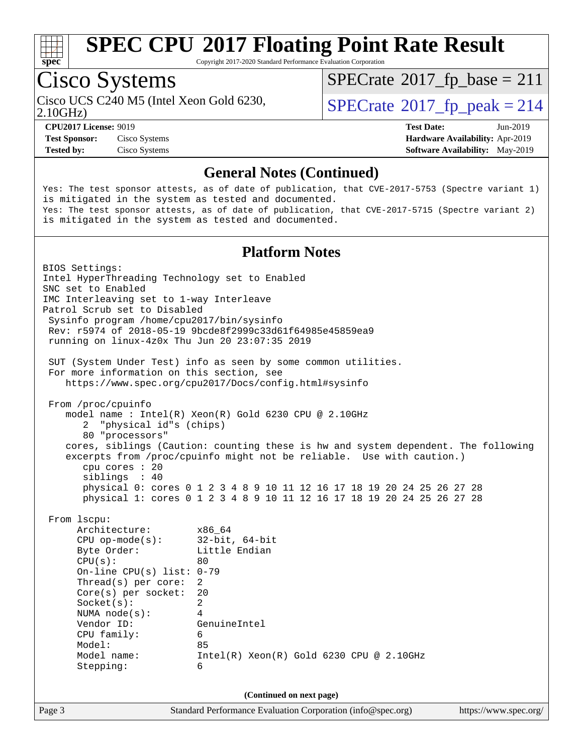

Copyright 2017-2020 Standard Performance Evaluation Corporation

## Cisco Systems

 $SPECTate@2017_fp\_base = 211$ 

2.10GHz)

Cisco UCS C240 M5 (Intel Xeon Gold 6230,  $SPECrate@2017_fp\_peak = 214$  $SPECrate@2017_fp\_peak = 214$ 

**[CPU2017 License:](http://www.spec.org/auto/cpu2017/Docs/result-fields.html#CPU2017License)** 9019 **[Test Date:](http://www.spec.org/auto/cpu2017/Docs/result-fields.html#TestDate)** Jun-2019 **[Test Sponsor:](http://www.spec.org/auto/cpu2017/Docs/result-fields.html#TestSponsor)** Cisco Systems **[Hardware Availability:](http://www.spec.org/auto/cpu2017/Docs/result-fields.html#HardwareAvailability)** Apr-2019 **[Tested by:](http://www.spec.org/auto/cpu2017/Docs/result-fields.html#Testedby)** Cisco Systems **[Software Availability:](http://www.spec.org/auto/cpu2017/Docs/result-fields.html#SoftwareAvailability)** May-2019

#### **[General Notes \(Continued\)](http://www.spec.org/auto/cpu2017/Docs/result-fields.html#GeneralNotes)**

Yes: The test sponsor attests, as of date of publication, that CVE-2017-5753 (Spectre variant 1) is mitigated in the system as tested and documented. Yes: The test sponsor attests, as of date of publication, that CVE-2017-5715 (Spectre variant 2) is mitigated in the system as tested and documented.

#### **[Platform Notes](http://www.spec.org/auto/cpu2017/Docs/result-fields.html#PlatformNotes)**

Page 3 Standard Performance Evaluation Corporation [\(info@spec.org\)](mailto:info@spec.org) <https://www.spec.org/> BIOS Settings: Intel HyperThreading Technology set to Enabled SNC set to Enabled IMC Interleaving set to 1-way Interleave Patrol Scrub set to Disabled Sysinfo program /home/cpu2017/bin/sysinfo Rev: r5974 of 2018-05-19 9bcde8f2999c33d61f64985e45859ea9 running on linux-4z0x Thu Jun 20 23:07:35 2019 SUT (System Under Test) info as seen by some common utilities. For more information on this section, see <https://www.spec.org/cpu2017/Docs/config.html#sysinfo> From /proc/cpuinfo model name : Intel(R) Xeon(R) Gold 6230 CPU @ 2.10GHz 2 "physical id"s (chips) 80 "processors" cores, siblings (Caution: counting these is hw and system dependent. The following excerpts from /proc/cpuinfo might not be reliable. Use with caution.) cpu cores : 20 siblings : 40 physical 0: cores 0 1 2 3 4 8 9 10 11 12 16 17 18 19 20 24 25 26 27 28 physical 1: cores 0 1 2 3 4 8 9 10 11 12 16 17 18 19 20 24 25 26 27 28 From lscpu: Architecture: x86\_64 CPU op-mode(s): 32-bit, 64-bit Byte Order: Little Endian  $CPU(s):$  80 On-line CPU(s) list: 0-79 Thread(s) per core: 2 Core(s) per socket: 20 Socket(s): 2 NUMA node(s): 4 Vendor ID: GenuineIntel CPU family: 6 Model: 85 Model name: Intel(R) Xeon(R) Gold 6230 CPU @ 2.10GHz Stepping: 6 **(Continued on next page)**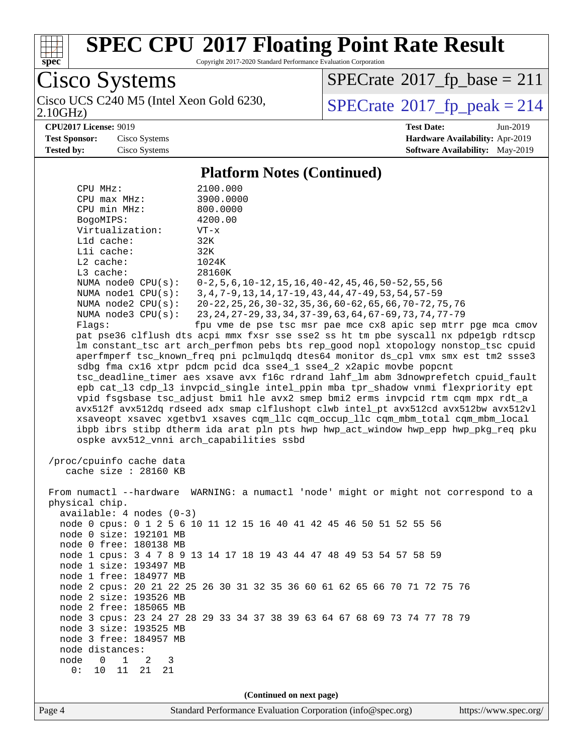

2.10GHz)

## **[SPEC CPU](http://www.spec.org/auto/cpu2017/Docs/result-fields.html#SPECCPU2017FloatingPointRateResult)[2017 Floating Point Rate Result](http://www.spec.org/auto/cpu2017/Docs/result-fields.html#SPECCPU2017FloatingPointRateResult)**

Copyright 2017-2020 Standard Performance Evaluation Corporation

Cisco Systems

 $SPECrate@2017_fp\_base = 211$  $SPECrate@2017_fp\_base = 211$ 

Cisco UCS C240 M5 (Intel Xeon Gold 6230,  $SPECrate@2017_fp\_peak = 214$  $SPECrate@2017_fp\_peak = 214$ 

**[CPU2017 License:](http://www.spec.org/auto/cpu2017/Docs/result-fields.html#CPU2017License)** 9019 **[Test Date:](http://www.spec.org/auto/cpu2017/Docs/result-fields.html#TestDate)** Jun-2019

**[Test Sponsor:](http://www.spec.org/auto/cpu2017/Docs/result-fields.html#TestSponsor)** Cisco Systems **[Hardware Availability:](http://www.spec.org/auto/cpu2017/Docs/result-fields.html#HardwareAvailability)** Apr-2019 **[Tested by:](http://www.spec.org/auto/cpu2017/Docs/result-fields.html#Testedby)** Cisco Systems **[Software Availability:](http://www.spec.org/auto/cpu2017/Docs/result-fields.html#SoftwareAvailability)** May-2019

#### **[Platform Notes \(Continued\)](http://www.spec.org/auto/cpu2017/Docs/result-fields.html#PlatformNotes)**

| CPU MHz:<br>$CPU$ $max$ $MHz$ :<br>CPU min MHz:<br>BogoMIPS:<br>Virtualization:<br>L1d cache:<br>Lli cache:<br>$L2$ cache:<br>L3 cache:<br>NUMA $node2$ $CPU(s):$<br>NUMA $node3$ $CPU(s):$<br>Flags:                                                                                                                                                                                                                                                                                                                                                                                                                                                                                                                                                            | 2100.000<br>3900.0000<br>800.0000<br>4200.00<br>VT-x<br>32K<br>32K<br>1024K<br>28160K<br>NUMA node0 CPU(s): 0-2,5,6,10-12,15,16,40-42,45,46,50-52,55,56<br>NUMA nodel CPU(s): 3, 4, 7-9, 13, 14, 17-19, 43, 44, 47-49, 53, 54, 57-59<br>20-22, 25, 26, 30-32, 35, 36, 60-62, 65, 66, 70-72, 75, 76<br>23, 24, 27-29, 33, 34, 37-39, 63, 64, 67-69, 73, 74, 77-79<br>fpu vme de pse tsc msr pae mce cx8 apic sep mtrr pge mca cmov<br>pat pse36 clflush dts acpi mmx fxsr sse sse2 ss ht tm pbe syscall nx pdpe1gb rdtscp<br>lm constant_tsc art arch_perfmon pebs bts rep_good nopl xtopology nonstop_tsc cpuid |  |  |  |  |  |
|------------------------------------------------------------------------------------------------------------------------------------------------------------------------------------------------------------------------------------------------------------------------------------------------------------------------------------------------------------------------------------------------------------------------------------------------------------------------------------------------------------------------------------------------------------------------------------------------------------------------------------------------------------------------------------------------------------------------------------------------------------------|-----------------------------------------------------------------------------------------------------------------------------------------------------------------------------------------------------------------------------------------------------------------------------------------------------------------------------------------------------------------------------------------------------------------------------------------------------------------------------------------------------------------------------------------------------------------------------------------------------------------|--|--|--|--|--|
| aperfmperf tsc_known_freq pni pclmulqdq dtes64 monitor ds_cpl vmx smx est tm2 ssse3<br>sdbg fma cx16 xtpr pdcm pcid dca sse4_1 sse4_2 x2apic movbe popcnt<br>tsc_deadline_timer aes xsave avx f16c rdrand lahf_lm abm 3dnowprefetch cpuid_fault<br>epb cat_13 cdp_13 invpcid_single intel_ppin mba tpr_shadow vnmi flexpriority ept<br>vpid fsgsbase tsc_adjust bmil hle avx2 smep bmi2 erms invpcid rtm cqm mpx rdt_a<br>avx512f avx512dq rdseed adx smap clflushopt clwb intel_pt avx512cd avx512bw avx512vl<br>xsaveopt xsavec xgetbvl xsaves cqm_llc cqm_occup_llc cqm_mbm_total cqm_mbm_local<br>ibpb ibrs stibp dtherm ida arat pln pts hwp hwp_act_window hwp_epp hwp_pkg_req pku<br>ospke avx512_vnni arch_capabilities ssbd<br>/proc/cpuinfo cache data |                                                                                                                                                                                                                                                                                                                                                                                                                                                                                                                                                                                                                 |  |  |  |  |  |
| cache size $: 28160$ KB<br>physical chip.<br>$available: 4 nodes (0-3)$<br>node 0 size: 192101 MB<br>node 0 free: 180138 MB<br>node 1 size: 193497 MB<br>node 1 free: 184977 MB<br>node 2 size: 193526 MB<br>node 2 free: 185065 MB<br>node 3 size: 193525 MB<br>node 3 free: 184957 MB<br>node distances:<br>node<br>$\mathbf 0$<br>1<br>3<br>2<br>0:<br>10<br>11<br>21<br>21                                                                                                                                                                                                                                                                                                                                                                                   | From numactl --hardware WARNING: a numactl 'node' might or might not correspond to a<br>node 0 cpus: 0 1 2 5 6 10 11 12 15 16 40 41 42 45 46 50 51 52 55 56<br>node 1 cpus: 3 4 7 8 9 13 14 17 18 19 43 44 47 48 49 53 54 57 58 59<br>node 2 cpus: 20 21 22 25 26 30 31 32 35 36 60 61 62 65 66 70 71 72 75 76<br>node 3 cpus: 23 24 27 28 29 33 34 37 38 39 63 64 67 68 69 73 74 77 78 79                                                                                                                                                                                                                      |  |  |  |  |  |
| (Continued on next page)                                                                                                                                                                                                                                                                                                                                                                                                                                                                                                                                                                                                                                                                                                                                         |                                                                                                                                                                                                                                                                                                                                                                                                                                                                                                                                                                                                                 |  |  |  |  |  |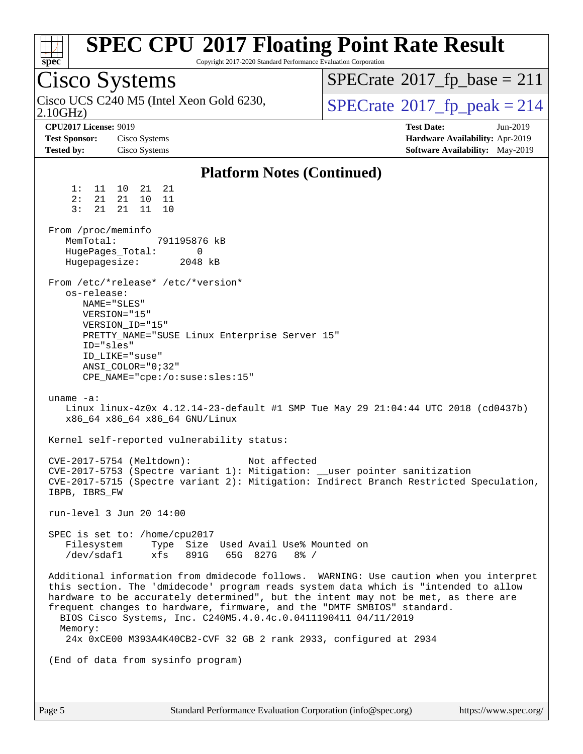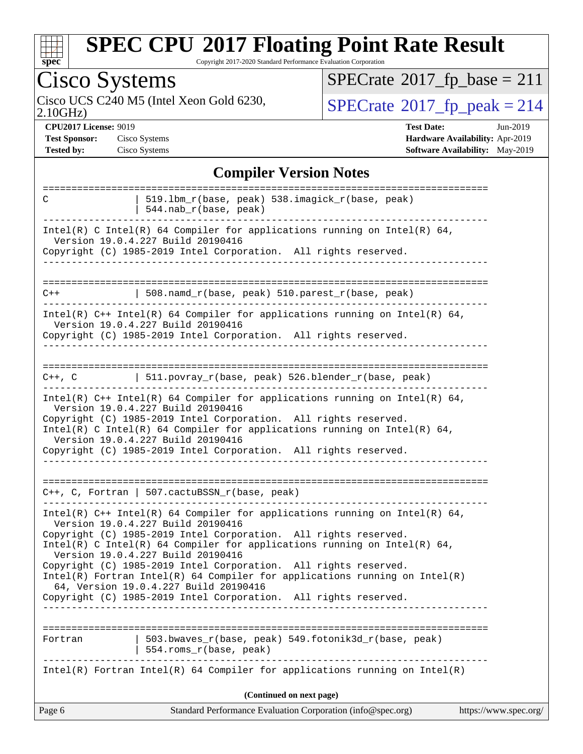

Copyright 2017-2020 Standard Performance Evaluation Corporation

| Cisco Systems                                                                                                                                                                                                                                                                                                                                                                                                                                                                                     | $SPECrate^{\circledcirc}2017_fp\_base = 211$                                                          |  |  |  |
|---------------------------------------------------------------------------------------------------------------------------------------------------------------------------------------------------------------------------------------------------------------------------------------------------------------------------------------------------------------------------------------------------------------------------------------------------------------------------------------------------|-------------------------------------------------------------------------------------------------------|--|--|--|
| Cisco UCS C240 M5 (Intel Xeon Gold 6230,<br>2.10GHz                                                                                                                                                                                                                                                                                                                                                                                                                                               | $SPECTate@2017_fp\_peak = 214$                                                                        |  |  |  |
| <b>CPU2017 License: 9019</b><br><b>Test Sponsor:</b><br>Cisco Systems<br><b>Tested by:</b><br>Cisco Systems                                                                                                                                                                                                                                                                                                                                                                                       | <b>Test Date:</b><br>$Jun-2019$<br>Hardware Availability: Apr-2019<br>Software Availability: May-2019 |  |  |  |
| <b>Compiler Version Notes</b>                                                                                                                                                                                                                                                                                                                                                                                                                                                                     |                                                                                                       |  |  |  |
| ===================<br>C<br>519.1bm_r(base, peak) 538.imagick_r(base, peak)<br>544.nab_r(base, peak)                                                                                                                                                                                                                                                                                                                                                                                              |                                                                                                       |  |  |  |
| Intel(R) C Intel(R) 64 Compiler for applications running on Intel(R) 64,<br>Version 19.0.4.227 Build 20190416<br>Copyright (C) 1985-2019 Intel Corporation. All rights reserved.                                                                                                                                                                                                                                                                                                                  |                                                                                                       |  |  |  |
| 508.namd_r(base, peak) 510.parest_r(base, peak)<br>$C++$                                                                                                                                                                                                                                                                                                                                                                                                                                          |                                                                                                       |  |  |  |
| Intel(R) $C++$ Intel(R) 64 Compiler for applications running on Intel(R) 64,<br>Version 19.0.4.227 Build 20190416<br>Copyright (C) 1985-2019 Intel Corporation. All rights reserved.                                                                                                                                                                                                                                                                                                              |                                                                                                       |  |  |  |
| =========================<br>511.povray_r(base, peak) 526.blender_r(base, peak)<br>$C++$ , $C$                                                                                                                                                                                                                                                                                                                                                                                                    |                                                                                                       |  |  |  |
| Intel(R) $C++$ Intel(R) 64 Compiler for applications running on Intel(R) 64,<br>Version 19.0.4.227 Build 20190416<br>Copyright (C) 1985-2019 Intel Corporation. All rights reserved.<br>Intel(R) C Intel(R) 64 Compiler for applications running on Intel(R) 64,<br>Version 19.0.4.227 Build 20190416<br>Copyright (C) 1985-2019 Intel Corporation. All rights reserved.                                                                                                                          |                                                                                                       |  |  |  |
| ---------------------------------<br>$C++$ , C, Fortran   507.cactuBSSN_r(base, peak)                                                                                                                                                                                                                                                                                                                                                                                                             |                                                                                                       |  |  |  |
| Intel(R) $C++$ Intel(R) 64 Compiler for applications running on Intel(R) 64,<br>Version 19.0.4.227 Build 20190416<br>Copyright (C) 1985-2019 Intel Corporation. All rights reserved.<br>Intel(R) C Intel(R) 64 Compiler for applications running on Intel(R) 64,<br>Version 19.0.4.227 Build 20190416<br>Copyright (C) 1985-2019 Intel Corporation. All rights reserved.<br>$Intel(R)$ Fortran Intel(R) 64 Compiler for applications running on Intel(R)<br>64, Version 19.0.4.227 Build 20190416 |                                                                                                       |  |  |  |
| Copyright (C) 1985-2019 Intel Corporation. All rights reserved.                                                                                                                                                                                                                                                                                                                                                                                                                                   |                                                                                                       |  |  |  |
| 503.bwaves_r(base, peak) 549.fotonik3d_r(base, peak)<br>Fortran<br>554.roms_r(base, peak)                                                                                                                                                                                                                                                                                                                                                                                                         |                                                                                                       |  |  |  |
| Intel(R) Fortran Intel(R) 64 Compiler for applications running on Intel(R)                                                                                                                                                                                                                                                                                                                                                                                                                        |                                                                                                       |  |  |  |
| (Continued on next page)                                                                                                                                                                                                                                                                                                                                                                                                                                                                          |                                                                                                       |  |  |  |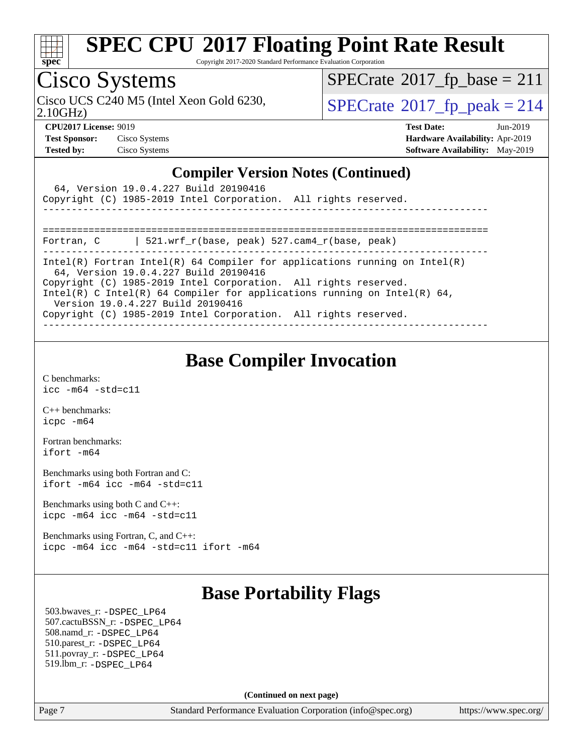

Copyright 2017-2020 Standard Performance Evaluation Corporation

### Cisco Systems

 $SPECTate@2017_fp\_base = 211$ 

Cisco UCS C240 M5 (Intel Xeon Gold 6230,  $\text{SPECrate}$  $\text{SPECrate}$  $\text{SPECrate}$ <sup>®</sup>[2017\\_fp\\_peak = 2](http://www.spec.org/auto/cpu2017/Docs/result-fields.html#SPECrate2017fppeak)14

2.10GHz)

**[CPU2017 License:](http://www.spec.org/auto/cpu2017/Docs/result-fields.html#CPU2017License)** 9019 **[Test Date:](http://www.spec.org/auto/cpu2017/Docs/result-fields.html#TestDate)** Jun-2019 **[Test Sponsor:](http://www.spec.org/auto/cpu2017/Docs/result-fields.html#TestSponsor)** Cisco Systems **[Hardware Availability:](http://www.spec.org/auto/cpu2017/Docs/result-fields.html#HardwareAvailability)** Apr-2019 **[Tested by:](http://www.spec.org/auto/cpu2017/Docs/result-fields.html#Testedby)** Cisco Systems **[Software Availability:](http://www.spec.org/auto/cpu2017/Docs/result-fields.html#SoftwareAvailability)** May-2019

#### **[Compiler Version Notes \(Continued\)](http://www.spec.org/auto/cpu2017/Docs/result-fields.html#CompilerVersionNotes)**

| 64, Version 19.0.4.227 Build 20190416<br>Copyright (C) 1985-2019 Intel Corporation. All rights reserved.                                                                                                                                                                                                                                                                   |
|----------------------------------------------------------------------------------------------------------------------------------------------------------------------------------------------------------------------------------------------------------------------------------------------------------------------------------------------------------------------------|
| 521.wrf_r(base, peak) 527.cam4_r(base, peak)<br>Fortran, C                                                                                                                                                                                                                                                                                                                 |
| Intel(R) Fortran Intel(R) 64 Compiler for applications running on Intel(R)<br>64, Version 19.0.4.227 Build 20190416<br>Copyright (C) 1985-2019 Intel Corporation. All rights reserved.<br>Intel(R) C Intel(R) 64 Compiler for applications running on Intel(R) 64,<br>Version 19.0.4.227 Build 20190416<br>Copyright (C) 1985-2019 Intel Corporation. All rights reserved. |

#### **[Base Compiler Invocation](http://www.spec.org/auto/cpu2017/Docs/result-fields.html#BaseCompilerInvocation)**

[C benchmarks](http://www.spec.org/auto/cpu2017/Docs/result-fields.html#Cbenchmarks): [icc -m64 -std=c11](http://www.spec.org/cpu2017/results/res2019q3/cpu2017-20190625-15897.flags.html#user_CCbase_intel_icc_64bit_c11_33ee0cdaae7deeeab2a9725423ba97205ce30f63b9926c2519791662299b76a0318f32ddfffdc46587804de3178b4f9328c46fa7c2b0cd779d7a61945c91cd35)

[C++ benchmarks:](http://www.spec.org/auto/cpu2017/Docs/result-fields.html#CXXbenchmarks) [icpc -m64](http://www.spec.org/cpu2017/results/res2019q3/cpu2017-20190625-15897.flags.html#user_CXXbase_intel_icpc_64bit_4ecb2543ae3f1412ef961e0650ca070fec7b7afdcd6ed48761b84423119d1bf6bdf5cad15b44d48e7256388bc77273b966e5eb805aefd121eb22e9299b2ec9d9)

[Fortran benchmarks](http://www.spec.org/auto/cpu2017/Docs/result-fields.html#Fortranbenchmarks): [ifort -m64](http://www.spec.org/cpu2017/results/res2019q3/cpu2017-20190625-15897.flags.html#user_FCbase_intel_ifort_64bit_24f2bb282fbaeffd6157abe4f878425411749daecae9a33200eee2bee2fe76f3b89351d69a8130dd5949958ce389cf37ff59a95e7a40d588e8d3a57e0c3fd751)

[Benchmarks using both Fortran and C](http://www.spec.org/auto/cpu2017/Docs/result-fields.html#BenchmarksusingbothFortranandC): [ifort -m64](http://www.spec.org/cpu2017/results/res2019q3/cpu2017-20190625-15897.flags.html#user_CC_FCbase_intel_ifort_64bit_24f2bb282fbaeffd6157abe4f878425411749daecae9a33200eee2bee2fe76f3b89351d69a8130dd5949958ce389cf37ff59a95e7a40d588e8d3a57e0c3fd751) [icc -m64 -std=c11](http://www.spec.org/cpu2017/results/res2019q3/cpu2017-20190625-15897.flags.html#user_CC_FCbase_intel_icc_64bit_c11_33ee0cdaae7deeeab2a9725423ba97205ce30f63b9926c2519791662299b76a0318f32ddfffdc46587804de3178b4f9328c46fa7c2b0cd779d7a61945c91cd35)

[Benchmarks using both C and C++](http://www.spec.org/auto/cpu2017/Docs/result-fields.html#BenchmarksusingbothCandCXX): [icpc -m64](http://www.spec.org/cpu2017/results/res2019q3/cpu2017-20190625-15897.flags.html#user_CC_CXXbase_intel_icpc_64bit_4ecb2543ae3f1412ef961e0650ca070fec7b7afdcd6ed48761b84423119d1bf6bdf5cad15b44d48e7256388bc77273b966e5eb805aefd121eb22e9299b2ec9d9) [icc -m64 -std=c11](http://www.spec.org/cpu2017/results/res2019q3/cpu2017-20190625-15897.flags.html#user_CC_CXXbase_intel_icc_64bit_c11_33ee0cdaae7deeeab2a9725423ba97205ce30f63b9926c2519791662299b76a0318f32ddfffdc46587804de3178b4f9328c46fa7c2b0cd779d7a61945c91cd35)

[Benchmarks using Fortran, C, and C++:](http://www.spec.org/auto/cpu2017/Docs/result-fields.html#BenchmarksusingFortranCandCXX) [icpc -m64](http://www.spec.org/cpu2017/results/res2019q3/cpu2017-20190625-15897.flags.html#user_CC_CXX_FCbase_intel_icpc_64bit_4ecb2543ae3f1412ef961e0650ca070fec7b7afdcd6ed48761b84423119d1bf6bdf5cad15b44d48e7256388bc77273b966e5eb805aefd121eb22e9299b2ec9d9) [icc -m64 -std=c11](http://www.spec.org/cpu2017/results/res2019q3/cpu2017-20190625-15897.flags.html#user_CC_CXX_FCbase_intel_icc_64bit_c11_33ee0cdaae7deeeab2a9725423ba97205ce30f63b9926c2519791662299b76a0318f32ddfffdc46587804de3178b4f9328c46fa7c2b0cd779d7a61945c91cd35) [ifort -m64](http://www.spec.org/cpu2017/results/res2019q3/cpu2017-20190625-15897.flags.html#user_CC_CXX_FCbase_intel_ifort_64bit_24f2bb282fbaeffd6157abe4f878425411749daecae9a33200eee2bee2fe76f3b89351d69a8130dd5949958ce389cf37ff59a95e7a40d588e8d3a57e0c3fd751)

### **[Base Portability Flags](http://www.spec.org/auto/cpu2017/Docs/result-fields.html#BasePortabilityFlags)**

 503.bwaves\_r: [-DSPEC\\_LP64](http://www.spec.org/cpu2017/results/res2019q3/cpu2017-20190625-15897.flags.html#suite_basePORTABILITY503_bwaves_r_DSPEC_LP64) 507.cactuBSSN\_r: [-DSPEC\\_LP64](http://www.spec.org/cpu2017/results/res2019q3/cpu2017-20190625-15897.flags.html#suite_basePORTABILITY507_cactuBSSN_r_DSPEC_LP64) 508.namd\_r: [-DSPEC\\_LP64](http://www.spec.org/cpu2017/results/res2019q3/cpu2017-20190625-15897.flags.html#suite_basePORTABILITY508_namd_r_DSPEC_LP64) 510.parest\_r: [-DSPEC\\_LP64](http://www.spec.org/cpu2017/results/res2019q3/cpu2017-20190625-15897.flags.html#suite_basePORTABILITY510_parest_r_DSPEC_LP64) 511.povray\_r: [-DSPEC\\_LP64](http://www.spec.org/cpu2017/results/res2019q3/cpu2017-20190625-15897.flags.html#suite_basePORTABILITY511_povray_r_DSPEC_LP64) 519.lbm\_r: [-DSPEC\\_LP64](http://www.spec.org/cpu2017/results/res2019q3/cpu2017-20190625-15897.flags.html#suite_basePORTABILITY519_lbm_r_DSPEC_LP64)

**(Continued on next page)**

Page 7 Standard Performance Evaluation Corporation [\(info@spec.org\)](mailto:info@spec.org) <https://www.spec.org/>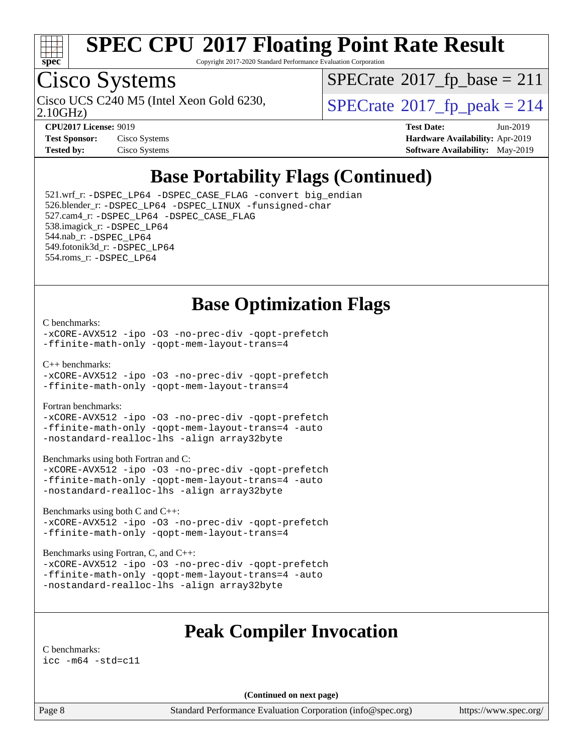

Copyright 2017-2020 Standard Performance Evaluation Corporation

## Cisco Systems

Cisco UCS C240 M5 (Intel Xeon Gold 6230,  $SPECrate@2017_fp\_peak = 214$  $SPECrate@2017_fp\_peak = 214$ 

 $SPECTate$ <sup>®</sup>[2017\\_fp\\_base =](http://www.spec.org/auto/cpu2017/Docs/result-fields.html#SPECrate2017fpbase) 211

2.10GHz)

| <b>Test Sponsor:</b> | Cisco Systems |
|----------------------|---------------|
| Tested by:           | Cisco Systems |

**[CPU2017 License:](http://www.spec.org/auto/cpu2017/Docs/result-fields.html#CPU2017License)** 9019 **[Test Date:](http://www.spec.org/auto/cpu2017/Docs/result-fields.html#TestDate)** Jun-2019 **[Hardware Availability:](http://www.spec.org/auto/cpu2017/Docs/result-fields.html#HardwareAvailability)** Apr-2019 **[Software Availability:](http://www.spec.org/auto/cpu2017/Docs/result-fields.html#SoftwareAvailability)** May-2019

### **[Base Portability Flags \(Continued\)](http://www.spec.org/auto/cpu2017/Docs/result-fields.html#BasePortabilityFlags)**

 521.wrf\_r: [-DSPEC\\_LP64](http://www.spec.org/cpu2017/results/res2019q3/cpu2017-20190625-15897.flags.html#suite_basePORTABILITY521_wrf_r_DSPEC_LP64) [-DSPEC\\_CASE\\_FLAG](http://www.spec.org/cpu2017/results/res2019q3/cpu2017-20190625-15897.flags.html#b521.wrf_r_baseCPORTABILITY_DSPEC_CASE_FLAG) [-convert big\\_endian](http://www.spec.org/cpu2017/results/res2019q3/cpu2017-20190625-15897.flags.html#user_baseFPORTABILITY521_wrf_r_convert_big_endian_c3194028bc08c63ac5d04de18c48ce6d347e4e562e8892b8bdbdc0214820426deb8554edfa529a3fb25a586e65a3d812c835984020483e7e73212c4d31a38223) 526.blender\_r: [-DSPEC\\_LP64](http://www.spec.org/cpu2017/results/res2019q3/cpu2017-20190625-15897.flags.html#suite_basePORTABILITY526_blender_r_DSPEC_LP64) [-DSPEC\\_LINUX](http://www.spec.org/cpu2017/results/res2019q3/cpu2017-20190625-15897.flags.html#b526.blender_r_baseCPORTABILITY_DSPEC_LINUX) [-funsigned-char](http://www.spec.org/cpu2017/results/res2019q3/cpu2017-20190625-15897.flags.html#user_baseCPORTABILITY526_blender_r_force_uchar_40c60f00ab013830e2dd6774aeded3ff59883ba5a1fc5fc14077f794d777847726e2a5858cbc7672e36e1b067e7e5c1d9a74f7176df07886a243d7cc18edfe67) 527.cam4\_r: [-DSPEC\\_LP64](http://www.spec.org/cpu2017/results/res2019q3/cpu2017-20190625-15897.flags.html#suite_basePORTABILITY527_cam4_r_DSPEC_LP64) [-DSPEC\\_CASE\\_FLAG](http://www.spec.org/cpu2017/results/res2019q3/cpu2017-20190625-15897.flags.html#b527.cam4_r_baseCPORTABILITY_DSPEC_CASE_FLAG) 538.imagick\_r: [-DSPEC\\_LP64](http://www.spec.org/cpu2017/results/res2019q3/cpu2017-20190625-15897.flags.html#suite_basePORTABILITY538_imagick_r_DSPEC_LP64) 544.nab\_r: [-DSPEC\\_LP64](http://www.spec.org/cpu2017/results/res2019q3/cpu2017-20190625-15897.flags.html#suite_basePORTABILITY544_nab_r_DSPEC_LP64) 549.fotonik3d\_r: [-DSPEC\\_LP64](http://www.spec.org/cpu2017/results/res2019q3/cpu2017-20190625-15897.flags.html#suite_basePORTABILITY549_fotonik3d_r_DSPEC_LP64) 554.roms\_r: [-DSPEC\\_LP64](http://www.spec.org/cpu2017/results/res2019q3/cpu2017-20190625-15897.flags.html#suite_basePORTABILITY554_roms_r_DSPEC_LP64)

#### **[Base Optimization Flags](http://www.spec.org/auto/cpu2017/Docs/result-fields.html#BaseOptimizationFlags)**

#### [C benchmarks](http://www.spec.org/auto/cpu2017/Docs/result-fields.html#Cbenchmarks):

[-xCORE-AVX512](http://www.spec.org/cpu2017/results/res2019q3/cpu2017-20190625-15897.flags.html#user_CCbase_f-xCORE-AVX512) [-ipo](http://www.spec.org/cpu2017/results/res2019q3/cpu2017-20190625-15897.flags.html#user_CCbase_f-ipo) [-O3](http://www.spec.org/cpu2017/results/res2019q3/cpu2017-20190625-15897.flags.html#user_CCbase_f-O3) [-no-prec-div](http://www.spec.org/cpu2017/results/res2019q3/cpu2017-20190625-15897.flags.html#user_CCbase_f-no-prec-div) [-qopt-prefetch](http://www.spec.org/cpu2017/results/res2019q3/cpu2017-20190625-15897.flags.html#user_CCbase_f-qopt-prefetch) [-ffinite-math-only](http://www.spec.org/cpu2017/results/res2019q3/cpu2017-20190625-15897.flags.html#user_CCbase_f_finite_math_only_cb91587bd2077682c4b38af759c288ed7c732db004271a9512da14a4f8007909a5f1427ecbf1a0fb78ff2a814402c6114ac565ca162485bbcae155b5e4258871) [-qopt-mem-layout-trans=4](http://www.spec.org/cpu2017/results/res2019q3/cpu2017-20190625-15897.flags.html#user_CCbase_f-qopt-mem-layout-trans_fa39e755916c150a61361b7846f310bcdf6f04e385ef281cadf3647acec3f0ae266d1a1d22d972a7087a248fd4e6ca390a3634700869573d231a252c784941a8)

[C++ benchmarks:](http://www.spec.org/auto/cpu2017/Docs/result-fields.html#CXXbenchmarks)

[-xCORE-AVX512](http://www.spec.org/cpu2017/results/res2019q3/cpu2017-20190625-15897.flags.html#user_CXXbase_f-xCORE-AVX512) [-ipo](http://www.spec.org/cpu2017/results/res2019q3/cpu2017-20190625-15897.flags.html#user_CXXbase_f-ipo) [-O3](http://www.spec.org/cpu2017/results/res2019q3/cpu2017-20190625-15897.flags.html#user_CXXbase_f-O3) [-no-prec-div](http://www.spec.org/cpu2017/results/res2019q3/cpu2017-20190625-15897.flags.html#user_CXXbase_f-no-prec-div) [-qopt-prefetch](http://www.spec.org/cpu2017/results/res2019q3/cpu2017-20190625-15897.flags.html#user_CXXbase_f-qopt-prefetch) [-ffinite-math-only](http://www.spec.org/cpu2017/results/res2019q3/cpu2017-20190625-15897.flags.html#user_CXXbase_f_finite_math_only_cb91587bd2077682c4b38af759c288ed7c732db004271a9512da14a4f8007909a5f1427ecbf1a0fb78ff2a814402c6114ac565ca162485bbcae155b5e4258871) [-qopt-mem-layout-trans=4](http://www.spec.org/cpu2017/results/res2019q3/cpu2017-20190625-15897.flags.html#user_CXXbase_f-qopt-mem-layout-trans_fa39e755916c150a61361b7846f310bcdf6f04e385ef281cadf3647acec3f0ae266d1a1d22d972a7087a248fd4e6ca390a3634700869573d231a252c784941a8)

[Fortran benchmarks](http://www.spec.org/auto/cpu2017/Docs/result-fields.html#Fortranbenchmarks):

[-xCORE-AVX512](http://www.spec.org/cpu2017/results/res2019q3/cpu2017-20190625-15897.flags.html#user_FCbase_f-xCORE-AVX512) [-ipo](http://www.spec.org/cpu2017/results/res2019q3/cpu2017-20190625-15897.flags.html#user_FCbase_f-ipo) [-O3](http://www.spec.org/cpu2017/results/res2019q3/cpu2017-20190625-15897.flags.html#user_FCbase_f-O3) [-no-prec-div](http://www.spec.org/cpu2017/results/res2019q3/cpu2017-20190625-15897.flags.html#user_FCbase_f-no-prec-div) [-qopt-prefetch](http://www.spec.org/cpu2017/results/res2019q3/cpu2017-20190625-15897.flags.html#user_FCbase_f-qopt-prefetch) [-ffinite-math-only](http://www.spec.org/cpu2017/results/res2019q3/cpu2017-20190625-15897.flags.html#user_FCbase_f_finite_math_only_cb91587bd2077682c4b38af759c288ed7c732db004271a9512da14a4f8007909a5f1427ecbf1a0fb78ff2a814402c6114ac565ca162485bbcae155b5e4258871) [-qopt-mem-layout-trans=4](http://www.spec.org/cpu2017/results/res2019q3/cpu2017-20190625-15897.flags.html#user_FCbase_f-qopt-mem-layout-trans_fa39e755916c150a61361b7846f310bcdf6f04e385ef281cadf3647acec3f0ae266d1a1d22d972a7087a248fd4e6ca390a3634700869573d231a252c784941a8) [-auto](http://www.spec.org/cpu2017/results/res2019q3/cpu2017-20190625-15897.flags.html#user_FCbase_f-auto) [-nostandard-realloc-lhs](http://www.spec.org/cpu2017/results/res2019q3/cpu2017-20190625-15897.flags.html#user_FCbase_f_2003_std_realloc_82b4557e90729c0f113870c07e44d33d6f5a304b4f63d4c15d2d0f1fab99f5daaed73bdb9275d9ae411527f28b936061aa8b9c8f2d63842963b95c9dd6426b8a) [-align array32byte](http://www.spec.org/cpu2017/results/res2019q3/cpu2017-20190625-15897.flags.html#user_FCbase_align_array32byte_b982fe038af199962ba9a80c053b8342c548c85b40b8e86eb3cc33dee0d7986a4af373ac2d51c3f7cf710a18d62fdce2948f201cd044323541f22fc0fffc51b6)

[Benchmarks using both Fortran and C](http://www.spec.org/auto/cpu2017/Docs/result-fields.html#BenchmarksusingbothFortranandC):

[-xCORE-AVX512](http://www.spec.org/cpu2017/results/res2019q3/cpu2017-20190625-15897.flags.html#user_CC_FCbase_f-xCORE-AVX512) [-ipo](http://www.spec.org/cpu2017/results/res2019q3/cpu2017-20190625-15897.flags.html#user_CC_FCbase_f-ipo) [-O3](http://www.spec.org/cpu2017/results/res2019q3/cpu2017-20190625-15897.flags.html#user_CC_FCbase_f-O3) [-no-prec-div](http://www.spec.org/cpu2017/results/res2019q3/cpu2017-20190625-15897.flags.html#user_CC_FCbase_f-no-prec-div) [-qopt-prefetch](http://www.spec.org/cpu2017/results/res2019q3/cpu2017-20190625-15897.flags.html#user_CC_FCbase_f-qopt-prefetch) [-ffinite-math-only](http://www.spec.org/cpu2017/results/res2019q3/cpu2017-20190625-15897.flags.html#user_CC_FCbase_f_finite_math_only_cb91587bd2077682c4b38af759c288ed7c732db004271a9512da14a4f8007909a5f1427ecbf1a0fb78ff2a814402c6114ac565ca162485bbcae155b5e4258871) [-qopt-mem-layout-trans=4](http://www.spec.org/cpu2017/results/res2019q3/cpu2017-20190625-15897.flags.html#user_CC_FCbase_f-qopt-mem-layout-trans_fa39e755916c150a61361b7846f310bcdf6f04e385ef281cadf3647acec3f0ae266d1a1d22d972a7087a248fd4e6ca390a3634700869573d231a252c784941a8) [-auto](http://www.spec.org/cpu2017/results/res2019q3/cpu2017-20190625-15897.flags.html#user_CC_FCbase_f-auto) [-nostandard-realloc-lhs](http://www.spec.org/cpu2017/results/res2019q3/cpu2017-20190625-15897.flags.html#user_CC_FCbase_f_2003_std_realloc_82b4557e90729c0f113870c07e44d33d6f5a304b4f63d4c15d2d0f1fab99f5daaed73bdb9275d9ae411527f28b936061aa8b9c8f2d63842963b95c9dd6426b8a) [-align array32byte](http://www.spec.org/cpu2017/results/res2019q3/cpu2017-20190625-15897.flags.html#user_CC_FCbase_align_array32byte_b982fe038af199962ba9a80c053b8342c548c85b40b8e86eb3cc33dee0d7986a4af373ac2d51c3f7cf710a18d62fdce2948f201cd044323541f22fc0fffc51b6)

[Benchmarks using both C and C++](http://www.spec.org/auto/cpu2017/Docs/result-fields.html#BenchmarksusingbothCandCXX):

[-xCORE-AVX512](http://www.spec.org/cpu2017/results/res2019q3/cpu2017-20190625-15897.flags.html#user_CC_CXXbase_f-xCORE-AVX512) [-ipo](http://www.spec.org/cpu2017/results/res2019q3/cpu2017-20190625-15897.flags.html#user_CC_CXXbase_f-ipo) [-O3](http://www.spec.org/cpu2017/results/res2019q3/cpu2017-20190625-15897.flags.html#user_CC_CXXbase_f-O3) [-no-prec-div](http://www.spec.org/cpu2017/results/res2019q3/cpu2017-20190625-15897.flags.html#user_CC_CXXbase_f-no-prec-div) [-qopt-prefetch](http://www.spec.org/cpu2017/results/res2019q3/cpu2017-20190625-15897.flags.html#user_CC_CXXbase_f-qopt-prefetch) [-ffinite-math-only](http://www.spec.org/cpu2017/results/res2019q3/cpu2017-20190625-15897.flags.html#user_CC_CXXbase_f_finite_math_only_cb91587bd2077682c4b38af759c288ed7c732db004271a9512da14a4f8007909a5f1427ecbf1a0fb78ff2a814402c6114ac565ca162485bbcae155b5e4258871) [-qopt-mem-layout-trans=4](http://www.spec.org/cpu2017/results/res2019q3/cpu2017-20190625-15897.flags.html#user_CC_CXXbase_f-qopt-mem-layout-trans_fa39e755916c150a61361b7846f310bcdf6f04e385ef281cadf3647acec3f0ae266d1a1d22d972a7087a248fd4e6ca390a3634700869573d231a252c784941a8)

[Benchmarks using Fortran, C, and C++:](http://www.spec.org/auto/cpu2017/Docs/result-fields.html#BenchmarksusingFortranCandCXX)

[-xCORE-AVX512](http://www.spec.org/cpu2017/results/res2019q3/cpu2017-20190625-15897.flags.html#user_CC_CXX_FCbase_f-xCORE-AVX512) [-ipo](http://www.spec.org/cpu2017/results/res2019q3/cpu2017-20190625-15897.flags.html#user_CC_CXX_FCbase_f-ipo) [-O3](http://www.spec.org/cpu2017/results/res2019q3/cpu2017-20190625-15897.flags.html#user_CC_CXX_FCbase_f-O3) [-no-prec-div](http://www.spec.org/cpu2017/results/res2019q3/cpu2017-20190625-15897.flags.html#user_CC_CXX_FCbase_f-no-prec-div) [-qopt-prefetch](http://www.spec.org/cpu2017/results/res2019q3/cpu2017-20190625-15897.flags.html#user_CC_CXX_FCbase_f-qopt-prefetch) [-ffinite-math-only](http://www.spec.org/cpu2017/results/res2019q3/cpu2017-20190625-15897.flags.html#user_CC_CXX_FCbase_f_finite_math_only_cb91587bd2077682c4b38af759c288ed7c732db004271a9512da14a4f8007909a5f1427ecbf1a0fb78ff2a814402c6114ac565ca162485bbcae155b5e4258871) [-qopt-mem-layout-trans=4](http://www.spec.org/cpu2017/results/res2019q3/cpu2017-20190625-15897.flags.html#user_CC_CXX_FCbase_f-qopt-mem-layout-trans_fa39e755916c150a61361b7846f310bcdf6f04e385ef281cadf3647acec3f0ae266d1a1d22d972a7087a248fd4e6ca390a3634700869573d231a252c784941a8) [-auto](http://www.spec.org/cpu2017/results/res2019q3/cpu2017-20190625-15897.flags.html#user_CC_CXX_FCbase_f-auto) [-nostandard-realloc-lhs](http://www.spec.org/cpu2017/results/res2019q3/cpu2017-20190625-15897.flags.html#user_CC_CXX_FCbase_f_2003_std_realloc_82b4557e90729c0f113870c07e44d33d6f5a304b4f63d4c15d2d0f1fab99f5daaed73bdb9275d9ae411527f28b936061aa8b9c8f2d63842963b95c9dd6426b8a) [-align array32byte](http://www.spec.org/cpu2017/results/res2019q3/cpu2017-20190625-15897.flags.html#user_CC_CXX_FCbase_align_array32byte_b982fe038af199962ba9a80c053b8342c548c85b40b8e86eb3cc33dee0d7986a4af373ac2d51c3f7cf710a18d62fdce2948f201cd044323541f22fc0fffc51b6)

#### **[Peak Compiler Invocation](http://www.spec.org/auto/cpu2017/Docs/result-fields.html#PeakCompilerInvocation)**

[C benchmarks](http://www.spec.org/auto/cpu2017/Docs/result-fields.html#Cbenchmarks): [icc -m64 -std=c11](http://www.spec.org/cpu2017/results/res2019q3/cpu2017-20190625-15897.flags.html#user_CCpeak_intel_icc_64bit_c11_33ee0cdaae7deeeab2a9725423ba97205ce30f63b9926c2519791662299b76a0318f32ddfffdc46587804de3178b4f9328c46fa7c2b0cd779d7a61945c91cd35)

**(Continued on next page)**

Page 8 Standard Performance Evaluation Corporation [\(info@spec.org\)](mailto:info@spec.org) <https://www.spec.org/>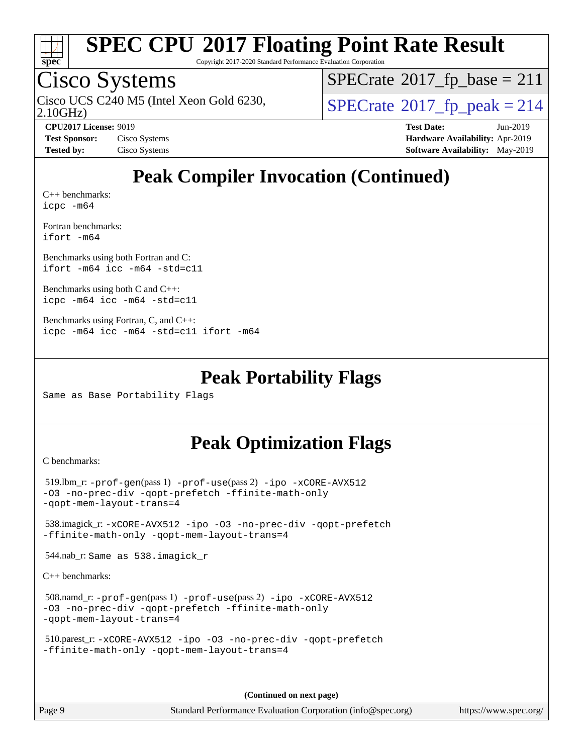

Copyright 2017-2020 Standard Performance Evaluation Corporation

### Cisco Systems

2.10GHz) Cisco UCS C240 M5 (Intel Xeon Gold 6230,  $SPECrate@2017_fp\_peak = 214$  $SPECrate@2017_fp\_peak = 214$ 

 $SPECrate^{\circ}2017_fp\_base = 211$  $SPECrate^{\circ}2017_fp\_base = 211$ 

**[CPU2017 License:](http://www.spec.org/auto/cpu2017/Docs/result-fields.html#CPU2017License)** 9019 **[Test Date:](http://www.spec.org/auto/cpu2017/Docs/result-fields.html#TestDate)** Jun-2019 **[Test Sponsor:](http://www.spec.org/auto/cpu2017/Docs/result-fields.html#TestSponsor)** Cisco Systems **[Hardware Availability:](http://www.spec.org/auto/cpu2017/Docs/result-fields.html#HardwareAvailability)** Apr-2019 **[Tested by:](http://www.spec.org/auto/cpu2017/Docs/result-fields.html#Testedby)** Cisco Systems **[Software Availability:](http://www.spec.org/auto/cpu2017/Docs/result-fields.html#SoftwareAvailability)** May-2019

### **[Peak Compiler Invocation \(Continued\)](http://www.spec.org/auto/cpu2017/Docs/result-fields.html#PeakCompilerInvocation)**

[C++ benchmarks:](http://www.spec.org/auto/cpu2017/Docs/result-fields.html#CXXbenchmarks) [icpc -m64](http://www.spec.org/cpu2017/results/res2019q3/cpu2017-20190625-15897.flags.html#user_CXXpeak_intel_icpc_64bit_4ecb2543ae3f1412ef961e0650ca070fec7b7afdcd6ed48761b84423119d1bf6bdf5cad15b44d48e7256388bc77273b966e5eb805aefd121eb22e9299b2ec9d9)

[Fortran benchmarks](http://www.spec.org/auto/cpu2017/Docs/result-fields.html#Fortranbenchmarks): [ifort -m64](http://www.spec.org/cpu2017/results/res2019q3/cpu2017-20190625-15897.flags.html#user_FCpeak_intel_ifort_64bit_24f2bb282fbaeffd6157abe4f878425411749daecae9a33200eee2bee2fe76f3b89351d69a8130dd5949958ce389cf37ff59a95e7a40d588e8d3a57e0c3fd751)

[Benchmarks using both Fortran and C](http://www.spec.org/auto/cpu2017/Docs/result-fields.html#BenchmarksusingbothFortranandC): [ifort -m64](http://www.spec.org/cpu2017/results/res2019q3/cpu2017-20190625-15897.flags.html#user_CC_FCpeak_intel_ifort_64bit_24f2bb282fbaeffd6157abe4f878425411749daecae9a33200eee2bee2fe76f3b89351d69a8130dd5949958ce389cf37ff59a95e7a40d588e8d3a57e0c3fd751) [icc -m64 -std=c11](http://www.spec.org/cpu2017/results/res2019q3/cpu2017-20190625-15897.flags.html#user_CC_FCpeak_intel_icc_64bit_c11_33ee0cdaae7deeeab2a9725423ba97205ce30f63b9926c2519791662299b76a0318f32ddfffdc46587804de3178b4f9328c46fa7c2b0cd779d7a61945c91cd35)

[Benchmarks using both C and C++](http://www.spec.org/auto/cpu2017/Docs/result-fields.html#BenchmarksusingbothCandCXX): [icpc -m64](http://www.spec.org/cpu2017/results/res2019q3/cpu2017-20190625-15897.flags.html#user_CC_CXXpeak_intel_icpc_64bit_4ecb2543ae3f1412ef961e0650ca070fec7b7afdcd6ed48761b84423119d1bf6bdf5cad15b44d48e7256388bc77273b966e5eb805aefd121eb22e9299b2ec9d9) [icc -m64 -std=c11](http://www.spec.org/cpu2017/results/res2019q3/cpu2017-20190625-15897.flags.html#user_CC_CXXpeak_intel_icc_64bit_c11_33ee0cdaae7deeeab2a9725423ba97205ce30f63b9926c2519791662299b76a0318f32ddfffdc46587804de3178b4f9328c46fa7c2b0cd779d7a61945c91cd35)

```
Benchmarks using Fortran, C, and C++: 
icpc -m64 icc -m64 -std=c11 ifort -m64
```
#### **[Peak Portability Flags](http://www.spec.org/auto/cpu2017/Docs/result-fields.html#PeakPortabilityFlags)**

Same as Base Portability Flags

### **[Peak Optimization Flags](http://www.spec.org/auto/cpu2017/Docs/result-fields.html#PeakOptimizationFlags)**

[C benchmarks](http://www.spec.org/auto/cpu2017/Docs/result-fields.html#Cbenchmarks):

```
 519.lbm_r: -prof-gen(pass 1) -prof-use(pass 2) -ipo -xCORE-AVX512
-O3 -no-prec-div -qopt-prefetch -ffinite-math-only
-qopt-mem-layout-trans=4
 538.imagick_r: -xCORE-AVX512 -ipo -O3 -no-prec-div -qopt-prefetch
-ffinite-math-only -qopt-mem-layout-trans=4
 544.nab_r: Same as 538.imagick_r
C++ benchmarks: 
 508.namd_r: -prof-gen(pass 1) -prof-use(pass 2) -ipo -xCORE-AVX512
```

```
-O3 -no-prec-div -qopt-prefetch -ffinite-math-only
-qopt-mem-layout-trans=4
```

```
 510.parest_r: -xCORE-AVX512 -ipo -O3 -no-prec-div -qopt-prefetch
-ffinite-math-only -qopt-mem-layout-trans=4
```
**(Continued on next page)**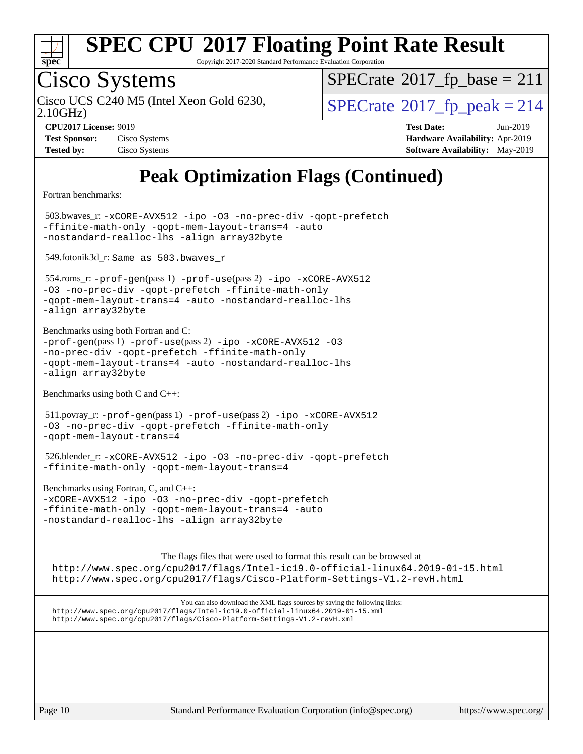

Copyright 2017-2020 Standard Performance Evaluation Corporation

# Cisco Systems

2.10GHz)

 $SPECrate$ <sup>®</sup>[2017\\_fp\\_base =](http://www.spec.org/auto/cpu2017/Docs/result-fields.html#SPECrate2017fpbase) 211

Cisco UCS C240 M5 (Intel Xeon Gold 6230,  $SPECrate@2017_fp\_peak = 214$  $SPECrate@2017_fp\_peak = 214$ 

| <b>Test Sponsor:</b> | Cisco Systems |
|----------------------|---------------|
| <b>Tested by:</b>    | Cisco Systems |

**[CPU2017 License:](http://www.spec.org/auto/cpu2017/Docs/result-fields.html#CPU2017License)** 9019 **[Test Date:](http://www.spec.org/auto/cpu2017/Docs/result-fields.html#TestDate)** Jun-2019 **[Hardware Availability:](http://www.spec.org/auto/cpu2017/Docs/result-fields.html#HardwareAvailability)** Apr-2019 **[Software Availability:](http://www.spec.org/auto/cpu2017/Docs/result-fields.html#SoftwareAvailability)** May-2019

## **[Peak Optimization Flags \(Continued\)](http://www.spec.org/auto/cpu2017/Docs/result-fields.html#PeakOptimizationFlags)**

[Fortran benchmarks](http://www.spec.org/auto/cpu2017/Docs/result-fields.html#Fortranbenchmarks):

 503.bwaves\_r: [-xCORE-AVX512](http://www.spec.org/cpu2017/results/res2019q3/cpu2017-20190625-15897.flags.html#user_peakFOPTIMIZE503_bwaves_r_f-xCORE-AVX512) [-ipo](http://www.spec.org/cpu2017/results/res2019q3/cpu2017-20190625-15897.flags.html#user_peakFOPTIMIZE503_bwaves_r_f-ipo) [-O3](http://www.spec.org/cpu2017/results/res2019q3/cpu2017-20190625-15897.flags.html#user_peakFOPTIMIZE503_bwaves_r_f-O3) [-no-prec-div](http://www.spec.org/cpu2017/results/res2019q3/cpu2017-20190625-15897.flags.html#user_peakFOPTIMIZE503_bwaves_r_f-no-prec-div) [-qopt-prefetch](http://www.spec.org/cpu2017/results/res2019q3/cpu2017-20190625-15897.flags.html#user_peakFOPTIMIZE503_bwaves_r_f-qopt-prefetch) [-ffinite-math-only](http://www.spec.org/cpu2017/results/res2019q3/cpu2017-20190625-15897.flags.html#user_peakFOPTIMIZE503_bwaves_r_f_finite_math_only_cb91587bd2077682c4b38af759c288ed7c732db004271a9512da14a4f8007909a5f1427ecbf1a0fb78ff2a814402c6114ac565ca162485bbcae155b5e4258871) [-qopt-mem-layout-trans=4](http://www.spec.org/cpu2017/results/res2019q3/cpu2017-20190625-15897.flags.html#user_peakFOPTIMIZE503_bwaves_r_f-qopt-mem-layout-trans_fa39e755916c150a61361b7846f310bcdf6f04e385ef281cadf3647acec3f0ae266d1a1d22d972a7087a248fd4e6ca390a3634700869573d231a252c784941a8) [-auto](http://www.spec.org/cpu2017/results/res2019q3/cpu2017-20190625-15897.flags.html#user_peakFOPTIMIZE503_bwaves_r_f-auto) [-nostandard-realloc-lhs](http://www.spec.org/cpu2017/results/res2019q3/cpu2017-20190625-15897.flags.html#user_peakEXTRA_FOPTIMIZE503_bwaves_r_f_2003_std_realloc_82b4557e90729c0f113870c07e44d33d6f5a304b4f63d4c15d2d0f1fab99f5daaed73bdb9275d9ae411527f28b936061aa8b9c8f2d63842963b95c9dd6426b8a) [-align array32byte](http://www.spec.org/cpu2017/results/res2019q3/cpu2017-20190625-15897.flags.html#user_peakEXTRA_FOPTIMIZE503_bwaves_r_align_array32byte_b982fe038af199962ba9a80c053b8342c548c85b40b8e86eb3cc33dee0d7986a4af373ac2d51c3f7cf710a18d62fdce2948f201cd044323541f22fc0fffc51b6) 549.fotonik3d\_r: Same as 503.bwaves\_r

 554.roms\_r: [-prof-gen](http://www.spec.org/cpu2017/results/res2019q3/cpu2017-20190625-15897.flags.html#user_peakPASS1_FFLAGSPASS1_LDFLAGS554_roms_r_prof_gen_5aa4926d6013ddb2a31985c654b3eb18169fc0c6952a63635c234f711e6e63dd76e94ad52365559451ec499a2cdb89e4dc58ba4c67ef54ca681ffbe1461d6b36)(pass 1) [-prof-use](http://www.spec.org/cpu2017/results/res2019q3/cpu2017-20190625-15897.flags.html#user_peakPASS2_FFLAGSPASS2_LDFLAGS554_roms_r_prof_use_1a21ceae95f36a2b53c25747139a6c16ca95bd9def2a207b4f0849963b97e94f5260e30a0c64f4bb623698870e679ca08317ef8150905d41bd88c6f78df73f19)(pass 2) [-ipo](http://www.spec.org/cpu2017/results/res2019q3/cpu2017-20190625-15897.flags.html#user_peakPASS1_FOPTIMIZEPASS2_FOPTIMIZE554_roms_r_f-ipo) [-xCORE-AVX512](http://www.spec.org/cpu2017/results/res2019q3/cpu2017-20190625-15897.flags.html#user_peakPASS2_FOPTIMIZE554_roms_r_f-xCORE-AVX512) [-O3](http://www.spec.org/cpu2017/results/res2019q3/cpu2017-20190625-15897.flags.html#user_peakPASS1_FOPTIMIZEPASS2_FOPTIMIZE554_roms_r_f-O3) [-no-prec-div](http://www.spec.org/cpu2017/results/res2019q3/cpu2017-20190625-15897.flags.html#user_peakPASS1_FOPTIMIZEPASS2_FOPTIMIZE554_roms_r_f-no-prec-div) [-qopt-prefetch](http://www.spec.org/cpu2017/results/res2019q3/cpu2017-20190625-15897.flags.html#user_peakPASS1_FOPTIMIZEPASS2_FOPTIMIZE554_roms_r_f-qopt-prefetch) [-ffinite-math-only](http://www.spec.org/cpu2017/results/res2019q3/cpu2017-20190625-15897.flags.html#user_peakPASS1_FOPTIMIZEPASS2_FOPTIMIZE554_roms_r_f_finite_math_only_cb91587bd2077682c4b38af759c288ed7c732db004271a9512da14a4f8007909a5f1427ecbf1a0fb78ff2a814402c6114ac565ca162485bbcae155b5e4258871) [-qopt-mem-layout-trans=4](http://www.spec.org/cpu2017/results/res2019q3/cpu2017-20190625-15897.flags.html#user_peakPASS1_FOPTIMIZEPASS2_FOPTIMIZE554_roms_r_f-qopt-mem-layout-trans_fa39e755916c150a61361b7846f310bcdf6f04e385ef281cadf3647acec3f0ae266d1a1d22d972a7087a248fd4e6ca390a3634700869573d231a252c784941a8) [-auto](http://www.spec.org/cpu2017/results/res2019q3/cpu2017-20190625-15897.flags.html#user_peakPASS2_FOPTIMIZE554_roms_r_f-auto) [-nostandard-realloc-lhs](http://www.spec.org/cpu2017/results/res2019q3/cpu2017-20190625-15897.flags.html#user_peakEXTRA_FOPTIMIZE554_roms_r_f_2003_std_realloc_82b4557e90729c0f113870c07e44d33d6f5a304b4f63d4c15d2d0f1fab99f5daaed73bdb9275d9ae411527f28b936061aa8b9c8f2d63842963b95c9dd6426b8a) [-align array32byte](http://www.spec.org/cpu2017/results/res2019q3/cpu2017-20190625-15897.flags.html#user_peakEXTRA_FOPTIMIZE554_roms_r_align_array32byte_b982fe038af199962ba9a80c053b8342c548c85b40b8e86eb3cc33dee0d7986a4af373ac2d51c3f7cf710a18d62fdce2948f201cd044323541f22fc0fffc51b6)

[Benchmarks using both Fortran and C](http://www.spec.org/auto/cpu2017/Docs/result-fields.html#BenchmarksusingbothFortranandC): [-prof-gen](http://www.spec.org/cpu2017/results/res2019q3/cpu2017-20190625-15897.flags.html#user_CC_FCpeak_prof_gen_5aa4926d6013ddb2a31985c654b3eb18169fc0c6952a63635c234f711e6e63dd76e94ad52365559451ec499a2cdb89e4dc58ba4c67ef54ca681ffbe1461d6b36)(pass 1) [-prof-use](http://www.spec.org/cpu2017/results/res2019q3/cpu2017-20190625-15897.flags.html#user_CC_FCpeak_prof_use_1a21ceae95f36a2b53c25747139a6c16ca95bd9def2a207b4f0849963b97e94f5260e30a0c64f4bb623698870e679ca08317ef8150905d41bd88c6f78df73f19)(pass 2) [-ipo](http://www.spec.org/cpu2017/results/res2019q3/cpu2017-20190625-15897.flags.html#user_CC_FCpeak_f-ipo) [-xCORE-AVX512](http://www.spec.org/cpu2017/results/res2019q3/cpu2017-20190625-15897.flags.html#user_CC_FCpeak_f-xCORE-AVX512) [-O3](http://www.spec.org/cpu2017/results/res2019q3/cpu2017-20190625-15897.flags.html#user_CC_FCpeak_f-O3) [-no-prec-div](http://www.spec.org/cpu2017/results/res2019q3/cpu2017-20190625-15897.flags.html#user_CC_FCpeak_f-no-prec-div) [-qopt-prefetch](http://www.spec.org/cpu2017/results/res2019q3/cpu2017-20190625-15897.flags.html#user_CC_FCpeak_f-qopt-prefetch) [-ffinite-math-only](http://www.spec.org/cpu2017/results/res2019q3/cpu2017-20190625-15897.flags.html#user_CC_FCpeak_f_finite_math_only_cb91587bd2077682c4b38af759c288ed7c732db004271a9512da14a4f8007909a5f1427ecbf1a0fb78ff2a814402c6114ac565ca162485bbcae155b5e4258871) [-qopt-mem-layout-trans=4](http://www.spec.org/cpu2017/results/res2019q3/cpu2017-20190625-15897.flags.html#user_CC_FCpeak_f-qopt-mem-layout-trans_fa39e755916c150a61361b7846f310bcdf6f04e385ef281cadf3647acec3f0ae266d1a1d22d972a7087a248fd4e6ca390a3634700869573d231a252c784941a8) [-auto](http://www.spec.org/cpu2017/results/res2019q3/cpu2017-20190625-15897.flags.html#user_CC_FCpeak_f-auto) [-nostandard-realloc-lhs](http://www.spec.org/cpu2017/results/res2019q3/cpu2017-20190625-15897.flags.html#user_CC_FCpeak_f_2003_std_realloc_82b4557e90729c0f113870c07e44d33d6f5a304b4f63d4c15d2d0f1fab99f5daaed73bdb9275d9ae411527f28b936061aa8b9c8f2d63842963b95c9dd6426b8a) [-align array32byte](http://www.spec.org/cpu2017/results/res2019q3/cpu2017-20190625-15897.flags.html#user_CC_FCpeak_align_array32byte_b982fe038af199962ba9a80c053b8342c548c85b40b8e86eb3cc33dee0d7986a4af373ac2d51c3f7cf710a18d62fdce2948f201cd044323541f22fc0fffc51b6)

[Benchmarks using both C and C++](http://www.spec.org/auto/cpu2017/Docs/result-fields.html#BenchmarksusingbothCandCXX):

 511.povray\_r: [-prof-gen](http://www.spec.org/cpu2017/results/res2019q3/cpu2017-20190625-15897.flags.html#user_peakPASS1_CFLAGSPASS1_CXXFLAGSPASS1_LDFLAGS511_povray_r_prof_gen_5aa4926d6013ddb2a31985c654b3eb18169fc0c6952a63635c234f711e6e63dd76e94ad52365559451ec499a2cdb89e4dc58ba4c67ef54ca681ffbe1461d6b36)(pass 1) [-prof-use](http://www.spec.org/cpu2017/results/res2019q3/cpu2017-20190625-15897.flags.html#user_peakPASS2_CFLAGSPASS2_CXXFLAGSPASS2_LDFLAGS511_povray_r_prof_use_1a21ceae95f36a2b53c25747139a6c16ca95bd9def2a207b4f0849963b97e94f5260e30a0c64f4bb623698870e679ca08317ef8150905d41bd88c6f78df73f19)(pass 2) [-ipo](http://www.spec.org/cpu2017/results/res2019q3/cpu2017-20190625-15897.flags.html#user_peakPASS1_COPTIMIZEPASS1_CXXOPTIMIZEPASS2_COPTIMIZEPASS2_CXXOPTIMIZE511_povray_r_f-ipo) [-xCORE-AVX512](http://www.spec.org/cpu2017/results/res2019q3/cpu2017-20190625-15897.flags.html#user_peakPASS2_COPTIMIZEPASS2_CXXOPTIMIZE511_povray_r_f-xCORE-AVX512) [-O3](http://www.spec.org/cpu2017/results/res2019q3/cpu2017-20190625-15897.flags.html#user_peakPASS1_COPTIMIZEPASS1_CXXOPTIMIZEPASS2_COPTIMIZEPASS2_CXXOPTIMIZE511_povray_r_f-O3) [-no-prec-div](http://www.spec.org/cpu2017/results/res2019q3/cpu2017-20190625-15897.flags.html#user_peakPASS1_COPTIMIZEPASS1_CXXOPTIMIZEPASS2_COPTIMIZEPASS2_CXXOPTIMIZE511_povray_r_f-no-prec-div) [-qopt-prefetch](http://www.spec.org/cpu2017/results/res2019q3/cpu2017-20190625-15897.flags.html#user_peakPASS1_COPTIMIZEPASS1_CXXOPTIMIZEPASS2_COPTIMIZEPASS2_CXXOPTIMIZE511_povray_r_f-qopt-prefetch) [-ffinite-math-only](http://www.spec.org/cpu2017/results/res2019q3/cpu2017-20190625-15897.flags.html#user_peakPASS1_COPTIMIZEPASS1_CXXOPTIMIZEPASS2_COPTIMIZEPASS2_CXXOPTIMIZE511_povray_r_f_finite_math_only_cb91587bd2077682c4b38af759c288ed7c732db004271a9512da14a4f8007909a5f1427ecbf1a0fb78ff2a814402c6114ac565ca162485bbcae155b5e4258871) [-qopt-mem-layout-trans=4](http://www.spec.org/cpu2017/results/res2019q3/cpu2017-20190625-15897.flags.html#user_peakPASS1_COPTIMIZEPASS1_CXXOPTIMIZEPASS2_COPTIMIZEPASS2_CXXOPTIMIZE511_povray_r_f-qopt-mem-layout-trans_fa39e755916c150a61361b7846f310bcdf6f04e385ef281cadf3647acec3f0ae266d1a1d22d972a7087a248fd4e6ca390a3634700869573d231a252c784941a8)

 526.blender\_r: [-xCORE-AVX512](http://www.spec.org/cpu2017/results/res2019q3/cpu2017-20190625-15897.flags.html#user_peakCOPTIMIZECXXOPTIMIZE526_blender_r_f-xCORE-AVX512) [-ipo](http://www.spec.org/cpu2017/results/res2019q3/cpu2017-20190625-15897.flags.html#user_peakCOPTIMIZECXXOPTIMIZE526_blender_r_f-ipo) [-O3](http://www.spec.org/cpu2017/results/res2019q3/cpu2017-20190625-15897.flags.html#user_peakCOPTIMIZECXXOPTIMIZE526_blender_r_f-O3) [-no-prec-div](http://www.spec.org/cpu2017/results/res2019q3/cpu2017-20190625-15897.flags.html#user_peakCOPTIMIZECXXOPTIMIZE526_blender_r_f-no-prec-div) [-qopt-prefetch](http://www.spec.org/cpu2017/results/res2019q3/cpu2017-20190625-15897.flags.html#user_peakCOPTIMIZECXXOPTIMIZE526_blender_r_f-qopt-prefetch) [-ffinite-math-only](http://www.spec.org/cpu2017/results/res2019q3/cpu2017-20190625-15897.flags.html#user_peakCOPTIMIZECXXOPTIMIZE526_blender_r_f_finite_math_only_cb91587bd2077682c4b38af759c288ed7c732db004271a9512da14a4f8007909a5f1427ecbf1a0fb78ff2a814402c6114ac565ca162485bbcae155b5e4258871) [-qopt-mem-layout-trans=4](http://www.spec.org/cpu2017/results/res2019q3/cpu2017-20190625-15897.flags.html#user_peakCOPTIMIZECXXOPTIMIZE526_blender_r_f-qopt-mem-layout-trans_fa39e755916c150a61361b7846f310bcdf6f04e385ef281cadf3647acec3f0ae266d1a1d22d972a7087a248fd4e6ca390a3634700869573d231a252c784941a8)

[Benchmarks using Fortran, C, and C++:](http://www.spec.org/auto/cpu2017/Docs/result-fields.html#BenchmarksusingFortranCandCXX) [-xCORE-AVX512](http://www.spec.org/cpu2017/results/res2019q3/cpu2017-20190625-15897.flags.html#user_CC_CXX_FCpeak_f-xCORE-AVX512) [-ipo](http://www.spec.org/cpu2017/results/res2019q3/cpu2017-20190625-15897.flags.html#user_CC_CXX_FCpeak_f-ipo) [-O3](http://www.spec.org/cpu2017/results/res2019q3/cpu2017-20190625-15897.flags.html#user_CC_CXX_FCpeak_f-O3) [-no-prec-div](http://www.spec.org/cpu2017/results/res2019q3/cpu2017-20190625-15897.flags.html#user_CC_CXX_FCpeak_f-no-prec-div) [-qopt-prefetch](http://www.spec.org/cpu2017/results/res2019q3/cpu2017-20190625-15897.flags.html#user_CC_CXX_FCpeak_f-qopt-prefetch) [-ffinite-math-only](http://www.spec.org/cpu2017/results/res2019q3/cpu2017-20190625-15897.flags.html#user_CC_CXX_FCpeak_f_finite_math_only_cb91587bd2077682c4b38af759c288ed7c732db004271a9512da14a4f8007909a5f1427ecbf1a0fb78ff2a814402c6114ac565ca162485bbcae155b5e4258871) [-qopt-mem-layout-trans=4](http://www.spec.org/cpu2017/results/res2019q3/cpu2017-20190625-15897.flags.html#user_CC_CXX_FCpeak_f-qopt-mem-layout-trans_fa39e755916c150a61361b7846f310bcdf6f04e385ef281cadf3647acec3f0ae266d1a1d22d972a7087a248fd4e6ca390a3634700869573d231a252c784941a8) [-auto](http://www.spec.org/cpu2017/results/res2019q3/cpu2017-20190625-15897.flags.html#user_CC_CXX_FCpeak_f-auto) [-nostandard-realloc-lhs](http://www.spec.org/cpu2017/results/res2019q3/cpu2017-20190625-15897.flags.html#user_CC_CXX_FCpeak_f_2003_std_realloc_82b4557e90729c0f113870c07e44d33d6f5a304b4f63d4c15d2d0f1fab99f5daaed73bdb9275d9ae411527f28b936061aa8b9c8f2d63842963b95c9dd6426b8a) [-align array32byte](http://www.spec.org/cpu2017/results/res2019q3/cpu2017-20190625-15897.flags.html#user_CC_CXX_FCpeak_align_array32byte_b982fe038af199962ba9a80c053b8342c548c85b40b8e86eb3cc33dee0d7986a4af373ac2d51c3f7cf710a18d62fdce2948f201cd044323541f22fc0fffc51b6)

[The flags files that were used to format this result can be browsed at](tmsearch) <http://www.spec.org/cpu2017/flags/Intel-ic19.0-official-linux64.2019-01-15.html> <http://www.spec.org/cpu2017/flags/Cisco-Platform-Settings-V1.2-revH.html>

[You can also download the XML flags sources by saving the following links:](tmsearch) <http://www.spec.org/cpu2017/flags/Intel-ic19.0-official-linux64.2019-01-15.xml> <http://www.spec.org/cpu2017/flags/Cisco-Platform-Settings-V1.2-revH.xml>